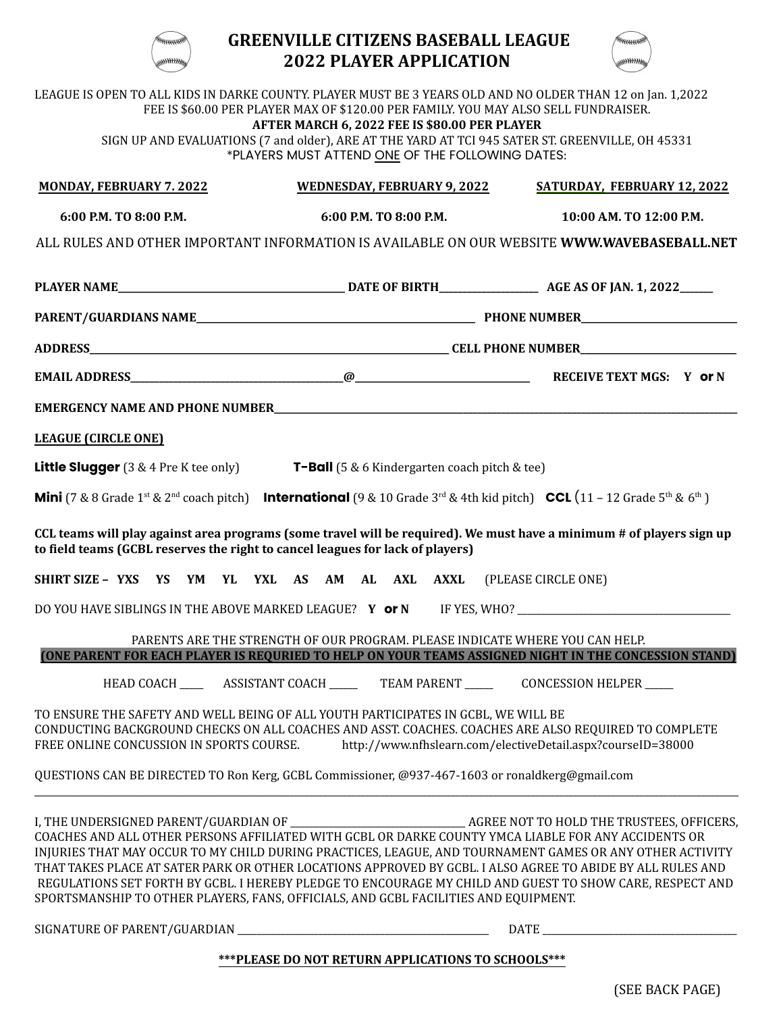

## **GREENVILLE CITIZENS BASEBALL LEAGUE 2022 PLAYER APPLICATION**



|                                                                                                                               | FEE IS \$60.00 PER PLAYER MAX OF \$120.00 PER FAMILY. YOU MAY ALSO SELL FUNDRAISER.<br>AFTER MARCH 6, 2022 FEE IS \$80.00 PER PLAYER<br>*PLAYERS MUST ATTEND ONE OF THE FOLLOWING DATES: | LEAGUE IS OPEN TO ALL KIDS IN DARKE COUNTY. PLAYER MUST BE 3 YEARS OLD AND NO OLDER THAN 12 on Jan. 1,2022<br>SIGN UP AND EVALUATIONS (7 and older), ARE AT THE YARD AT TCI 945 SATER ST. GREENVILLE, OH 45331                                                                                                                                                                                                                                                                                                                                                 |  |
|-------------------------------------------------------------------------------------------------------------------------------|------------------------------------------------------------------------------------------------------------------------------------------------------------------------------------------|----------------------------------------------------------------------------------------------------------------------------------------------------------------------------------------------------------------------------------------------------------------------------------------------------------------------------------------------------------------------------------------------------------------------------------------------------------------------------------------------------------------------------------------------------------------|--|
| <b>MONDAY, FEBRUARY 7.2022</b>                                                                                                | <b>WEDNESDAY, FEBRUARY 9, 2022</b>                                                                                                                                                       | SATURDAY, FEBRUARY 12, 2022                                                                                                                                                                                                                                                                                                                                                                                                                                                                                                                                    |  |
| 6:00 P.M. TO 8:00 P.M.                                                                                                        | 6:00 P.M. TO 8:00 P.M.                                                                                                                                                                   | 10:00 AM. TO 12:00 P.M.                                                                                                                                                                                                                                                                                                                                                                                                                                                                                                                                        |  |
|                                                                                                                               |                                                                                                                                                                                          | ALL RULES AND OTHER IMPORTANT INFORMATION IS AVAILABLE ON OUR WEBSITE WWW.WAVEBASEBALL.NET                                                                                                                                                                                                                                                                                                                                                                                                                                                                     |  |
|                                                                                                                               |                                                                                                                                                                                          |                                                                                                                                                                                                                                                                                                                                                                                                                                                                                                                                                                |  |
|                                                                                                                               |                                                                                                                                                                                          |                                                                                                                                                                                                                                                                                                                                                                                                                                                                                                                                                                |  |
|                                                                                                                               |                                                                                                                                                                                          |                                                                                                                                                                                                                                                                                                                                                                                                                                                                                                                                                                |  |
|                                                                                                                               |                                                                                                                                                                                          |                                                                                                                                                                                                                                                                                                                                                                                                                                                                                                                                                                |  |
|                                                                                                                               |                                                                                                                                                                                          |                                                                                                                                                                                                                                                                                                                                                                                                                                                                                                                                                                |  |
| <b>LEAGUE (CIRCLE ONE)</b>                                                                                                    |                                                                                                                                                                                          |                                                                                                                                                                                                                                                                                                                                                                                                                                                                                                                                                                |  |
| <b>Little Slugger</b> (3 & 4 Pre K tee only) $T-Ball$ (5 & 6 Kindergarten coach pitch & tee)                                  |                                                                                                                                                                                          |                                                                                                                                                                                                                                                                                                                                                                                                                                                                                                                                                                |  |
|                                                                                                                               |                                                                                                                                                                                          | <b>Mini</b> (7 & 8 Grade 1 <sup>st</sup> & 2 <sup>nd</sup> coach pitch) <b>International</b> (9 & 10 Grade 3 <sup>rd</sup> & 4th kid pitch) <b>CCL</b> (11 – 12 Grade 5 <sup>th</sup> & 6 <sup>th</sup> )                                                                                                                                                                                                                                                                                                                                                      |  |
| to field teams (GCBL reserves the right to cancel leagues for lack of players)                                                |                                                                                                                                                                                          | CCL teams will play against area programs (some travel will be required). We must have a minimum # of players sign up                                                                                                                                                                                                                                                                                                                                                                                                                                          |  |
| SHIRT SIZE - YXS YS YM YL YXL AS AM AL AXL AXXL (PLEASE CIRCLE ONE)                                                           |                                                                                                                                                                                          |                                                                                                                                                                                                                                                                                                                                                                                                                                                                                                                                                                |  |
|                                                                                                                               |                                                                                                                                                                                          | DO YOU HAVE SIBLINGS IN THE ABOVE MARKED LEAGUE? Y or N IF YES, WHO? _______________________________                                                                                                                                                                                                                                                                                                                                                                                                                                                           |  |
|                                                                                                                               | PARENTS ARE THE STRENGTH OF OUR PROGRAM. PLEASE INDICATE WHERE YOU CAN HELP.                                                                                                             |                                                                                                                                                                                                                                                                                                                                                                                                                                                                                                                                                                |  |
|                                                                                                                               | HEAD COACH __________ ASSISTANT COACH ___________ TEAM PARENT _____________ CONCESSION HELPER ______                                                                                     | (ONE PARENT FOR EACH PLAYER IS REQURIED TO HELP ON YOUR TEAMS ASSIGNED NIGHT IN THE CONCESSION STAND)                                                                                                                                                                                                                                                                                                                                                                                                                                                          |  |
|                                                                                                                               |                                                                                                                                                                                          |                                                                                                                                                                                                                                                                                                                                                                                                                                                                                                                                                                |  |
| TO ENSURE THE SAFETY AND WELL BEING OF ALL YOUTH PARTICIPATES IN GCBL, WE WILL BE<br>FREE ONLINE CONCUSSION IN SPORTS COURSE. |                                                                                                                                                                                          | CONDUCTING BACKGROUND CHECKS ON ALL COACHES AND ASST. COACHES. COACHES ARE ALSO REQUIRED TO COMPLETE<br>http://www.nfhslearn.com/electiveDetail.aspx?courseID=38000                                                                                                                                                                                                                                                                                                                                                                                            |  |
| QUESTIONS CAN BE DIRECTED TO Ron Kerg, GCBL Commissioner, @937-467-1603 or ronaldkerg@gmail.com                               |                                                                                                                                                                                          |                                                                                                                                                                                                                                                                                                                                                                                                                                                                                                                                                                |  |
| SPORTSMANSHIP TO OTHER PLAYERS, FANS, OFFICIALS, AND GCBL FACILITIES AND EQUIPMENT.                                           |                                                                                                                                                                                          | I, THE UNDERSIGNED PARENT/GUARDIAN OF __________________________________AGREE NOT TO HOLD THE TRUSTEES, OFFICERS,<br>COACHES AND ALL OTHER PERSONS AFFILIATED WITH GCBL OR DARKE COUNTY YMCA LIABLE FOR ANY ACCIDENTS OR<br>INJURIES THAT MAY OCCUR TO MY CHILD DURING PRACTICES, LEAGUE, AND TOURNAMENT GAMES OR ANY OTHER ACTIVITY<br>THAT TAKES PLACE AT SATER PARK OR OTHER LOCATIONS APPROVED BY GCBL. I ALSO AGREE TO ABIDE BY ALL RULES AND<br>REGULATIONS SET FORTH BY GCBL. I HEREBY PLEDGE TO ENCOURAGE MY CHILD AND GUEST TO SHOW CARE, RESPECT AND |  |
|                                                                                                                               |                                                                                                                                                                                          |                                                                                                                                                                                                                                                                                                                                                                                                                                                                                                                                                                |  |

## **\*\*\*PLEASE DO NOT RETURN APPLICATIONS TO SCHOOLS\*\*\***

(SEE BACK PAGE)